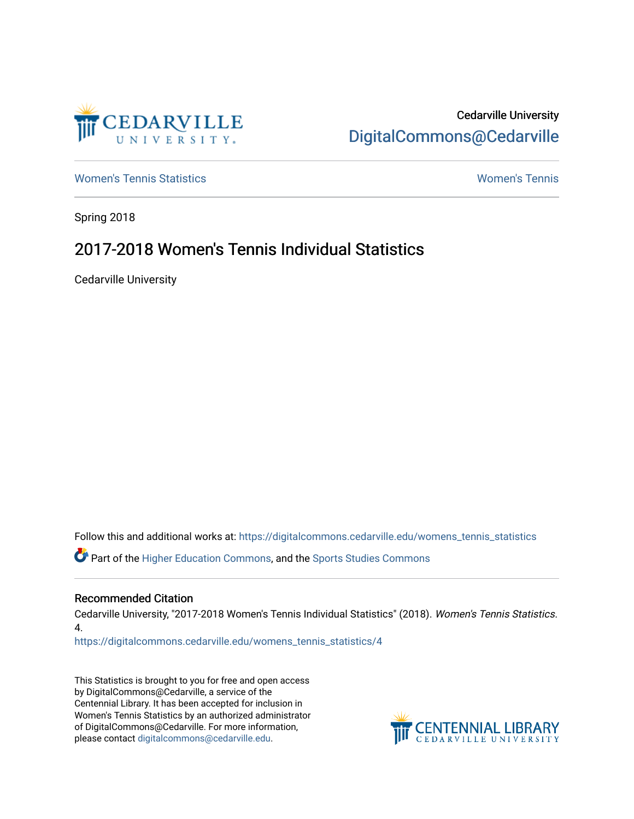

# Cedarville University [DigitalCommons@Cedarville](https://digitalcommons.cedarville.edu/)

[Women's Tennis Statistics](https://digitalcommons.cedarville.edu/womens_tennis_statistics) [Women's Tennis](https://digitalcommons.cedarville.edu/womens_tennis) 

Spring 2018

# 2017-2018 Women's Tennis Individual Statistics

Cedarville University

Follow this and additional works at: [https://digitalcommons.cedarville.edu/womens\\_tennis\\_statistics](https://digitalcommons.cedarville.edu/womens_tennis_statistics?utm_source=digitalcommons.cedarville.edu%2Fwomens_tennis_statistics%2F4&utm_medium=PDF&utm_campaign=PDFCoverPages) 

Part of the [Higher Education Commons,](http://network.bepress.com/hgg/discipline/1245?utm_source=digitalcommons.cedarville.edu%2Fwomens_tennis_statistics%2F4&utm_medium=PDF&utm_campaign=PDFCoverPages) and the [Sports Studies Commons](http://network.bepress.com/hgg/discipline/1198?utm_source=digitalcommons.cedarville.edu%2Fwomens_tennis_statistics%2F4&utm_medium=PDF&utm_campaign=PDFCoverPages) 

#### Recommended Citation

Cedarville University, "2017-2018 Women's Tennis Individual Statistics" (2018). Women's Tennis Statistics. 4.

[https://digitalcommons.cedarville.edu/womens\\_tennis\\_statistics/4](https://digitalcommons.cedarville.edu/womens_tennis_statistics/4?utm_source=digitalcommons.cedarville.edu%2Fwomens_tennis_statistics%2F4&utm_medium=PDF&utm_campaign=PDFCoverPages)

This Statistics is brought to you for free and open access by DigitalCommons@Cedarville, a service of the Centennial Library. It has been accepted for inclusion in Women's Tennis Statistics by an authorized administrator of DigitalCommons@Cedarville. For more information, please contact [digitalcommons@cedarville.edu](mailto:digitalcommons@cedarville.edu).

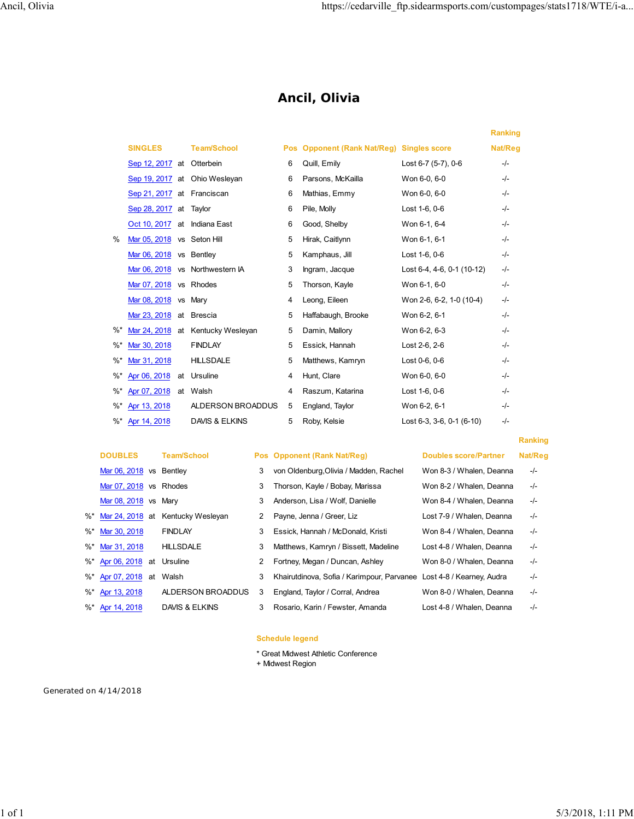## **Ancil, Olivia**

|        |                              |    |                                   |            |                                              |                                     | <b>Ranking</b> |
|--------|------------------------------|----|-----------------------------------|------------|----------------------------------------------|-------------------------------------|----------------|
|        | <b>SINGLES</b>               |    | <b>Team/School</b>                | <b>Pos</b> | <b>Opponent (Rank Nat/Reg) Singles score</b> |                                     | Nat/Reg        |
|        | Sep 12, 2017 at Otterbein    |    |                                   | 6          | Quill, Emily                                 | Lost 6-7 (5-7), 0-6                 | $-/-$          |
|        |                              |    | Sep 19, 2017 at Ohio Wesleyan     | 6          | Parsons, McKailla                            | Won 6-0, 6-0                        | $-I$           |
|        | Sep 21, 2017 at Franciscan   |    |                                   | 6          | Mathias, Emmy                                | Won 6-0, 6-0                        | $-I -$         |
|        | Sep 28, 2017 at Taylor       |    |                                   | 6          | Pile, Molly                                  | Lost 1-6, 0-6                       | $-/-$          |
|        | Oct 10, 2017 at Indiana East |    |                                   | 6          | Good, Shelby                                 | Won 6-1, 6-4                        | $-I -$         |
| $\%$   | Mar 05, 2018 vs Seton Hill   |    |                                   | 5          | Hirak, Caitlynn                              | Won 6-1, 6-1                        | $-I$           |
|        | Mar 06, 2018 vs Bentley      |    |                                   | 5          | Kamphaus, Jill                               | Lost 1-6, 0-6                       | $-/-$          |
|        |                              |    | Mar 06, 2018 vs Northwestern IA   | 3          | Ingram, Jacque                               | Lost 6-4, 4-6, 0-1 (10-12)          | $-/-$          |
|        | Mar 07, 2018 vs Rhodes       |    |                                   | 5          | Thorson, Kayle                               | Won 6-1, 6-0                        | $-/-$          |
|        | Mar 08, 2018                 |    | vs Mary                           | 4          | Leong, Eileen                                | Won 2-6, 6-2, 1-0 (10-4)            | $-/-$          |
|        | Mar 23, 2018                 |    | at Brescia                        | 5          | Haffabaugh, Brooke                           | Won 6-2, 6-1                        | $-I$           |
| $\%^*$ |                              |    | Mar 24, 2018 at Kentucky Wesleyan | 5          | Damin, Mallory                               | Won 6-2, 6-3                        | $-I$           |
| $\%^*$ | Mar 30, 2018                 |    | <b>FINDLAY</b>                    | 5          | Essick, Hannah                               | Lost 2-6, 2-6                       | $-I$           |
| $%$ *  | Mar 31, 2018                 |    | <b>HILLSDALE</b>                  | 5          | Matthews, Kamryn                             | Lost 0-6, 0-6                       | $-/-$          |
| $\%^*$ | Apr 06, 2018                 | at | Ursuline                          | 4          | Hunt, Clare                                  | Won 6-0, 6-0                        | $-/-$          |
| $\%^*$ | Apr 07, 2018                 |    | at Walsh                          | 4          | Raszum, Katarina                             | Lost 1-6, 0-6                       | $-/-$          |
| $\%^*$ | Apr 13, 2018                 |    | ALDERSON BROADDUS                 | 5          | England, Taylor                              | Won 6-2, 6-1                        | $-I$           |
| %*     | Apr 14, 2018                 |    | DAVIS & ELKINS                    | 5          | Roby, Kelsie                                 | Lost $6-3$ , $3-6$ , $0-1$ $(6-10)$ | $-/-$          |
|        |                              |    |                                   |            |                                              |                                     |                |

| <b>DOUBLES</b>              | <b>Team/School</b>                   |   | Pos Opponent (Rank Nat/Reg)                                          | <b>Doubles score/Partner</b> | Nat/F |
|-----------------------------|--------------------------------------|---|----------------------------------------------------------------------|------------------------------|-------|
| Mar 06, 2018 vs Bentley     |                                      | 3 | von Oldenburg, Olivia / Madden, Rachel                               | Won 8-3 / Whalen, Deanna     | -/-   |
| Mar 07, 2018 vs Rhodes      |                                      | 3 | Thorson, Kayle / Bobay, Marissa                                      | Won 8-2 / Whalen, Deanna     | -/-   |
| Mar 08, 2018 vs Mary        |                                      | 3 | Anderson, Lisa / Wolf, Danielle                                      | Won 8-4 / Whalen, Deanna     | $-/-$ |
|                             | %* Mar 24, 2018 at Kentucky Wesleyan | 2 | Payne, Jenna / Greer, Liz                                            | Lost 7-9 / Whalen, Deanna    | -/-   |
| %* Mar 30, 2018             | <b>FINDLAY</b>                       | 3 | Essick, Hannah / McDonald, Kristi                                    | Won 8-4 / Whalen, Deanna     | $-/-$ |
| %* Mar 31, 2018             | <b>HILLSDALE</b>                     | 3 | Matthews, Kamryn / Bissett, Madeline                                 | Lost 4-8 / Whalen, Deanna    | $-/-$ |
| %* Apr 06, 2018 at Ursuline |                                      | 2 | Fortney, Megan / Duncan, Ashley                                      | Won 8-0 / Whalen, Deanna     | $-/-$ |
| %* Apr 07, 2018 at          | Walsh                                | 3 | Khairutdinova, Sofia / Karimpour, Parvanee Lost 4-8 / Kearney, Audra |                              | $-/-$ |
| %* Apr 13, 2018             | ALDERSON BROADDUS                    | 3 | England, Taylor / Corral, Andrea                                     | Won 8-0 / Whalen, Deanna     | -/-   |
| %* Apr 14, 2018             | DAVIS & ELKINS                       | 3 | Rosario, Karin / Fewster, Amanda                                     | Lost 4-8 / Whalen, Deanna    | -/-   |

## **Pos Opponent (Rank Nat/Reg) Doubles score/Partner Nat/Reg**

#### 3 von Oldenburg,Olivia / Madden, Rachel 3 Thorson, Kayle / Bobay, Marissa 3 Anderson, Lisa / Wolf, Danielle n 2 Payne, Jenna / Greer, Liz 3 Essick, Hannah / McDonald, Kristi 3 Matthews, Kamryn / Bissett, Madeline 2 Fortney, Megan / Duncan, Ashley 3 Khairutdinova, Sofia / Karimpour, Parvanee ADDUS 3 England, Taylor / Corral, Andrea

## **Ranking**

| Doubles score/Partner     | NATIKA   |
|---------------------------|----------|
| Won 8-3 / Whalen, Deanna  | $-/-$    |
| Won 8-2 / Whalen, Deanna  | $-I -$   |
| Won 8-4 / Whalen, Deanna  | $-/-$    |
| Lost 7-9 / Whalen, Deanna | $-/-$    |
| Won 8-4 / Whalen, Deanna  | -/-      |
| Lost 4-8 / Whalen, Deanna | $-/-$    |
| Won 8-0 / Whalen, Deanna  | $-I -$   |
| Lost 4-8 / Kearney, Audra | -/-      |
| Won 8-0 / Whalen, Deanna  | -/-      |
| Loet 4.8 / Whalen Deanna  | $\prime$ |

#### **Schedule legend**

- \* Great Midwest Athletic Conference
- + Midwest Region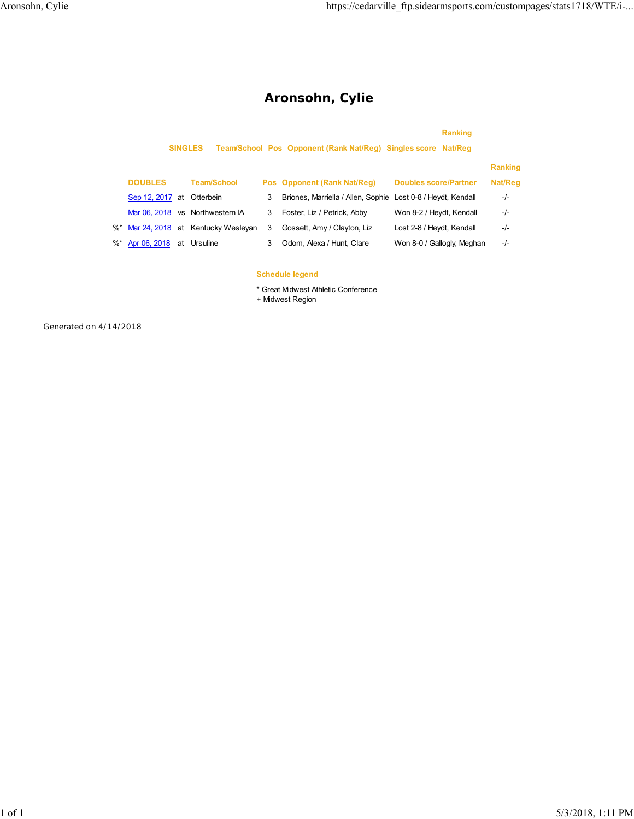# **Aronsohn, Cylie**

|                 |    | <b>SINGLES</b>                       |   | Team/School Pos Opponent (Rank Nat/Reg) Singles score Nat/Reg | <b>Ranking</b>               |                |
|-----------------|----|--------------------------------------|---|---------------------------------------------------------------|------------------------------|----------------|
|                 |    |                                      |   |                                                               |                              | <b>Ranking</b> |
| <b>DOUBLES</b>  |    | <b>Team/School</b>                   |   | Pos Opponent (Rank Nat/Reg)                                   | <b>Doubles score/Partner</b> | Nat/Reg        |
| Sep 12, 2017 at |    | Otterbein                            | 3 | Briones, Marriella / Allen, Sophie Lost 0-8 / Heydt, Kendall  |                              | $-/-$          |
|                 |    | Mar 06, 2018 vs Northwestern IA      | 3 | Foster, Liz / Petrick, Abby                                   | Won 8-2 / Heydt, Kendall     | $-/-$          |
|                 |    | %* Mar 24, 2018 at Kentucky Wesleyan | 3 | Gossett, Amy / Clayton, Liz                                   | Lost 2-8 / Heydt, Kendall    | $-/-$          |
| %* Apr 06, 2018 | at | Ursuline                             | 3 | Odom, Alexa / Hunt, Clare                                     | Won 8-0 / Gallogly, Meghan   | -/-            |

#### **Schedule legend**

\* Great Midwest Athletic Conference

+ Midwest Region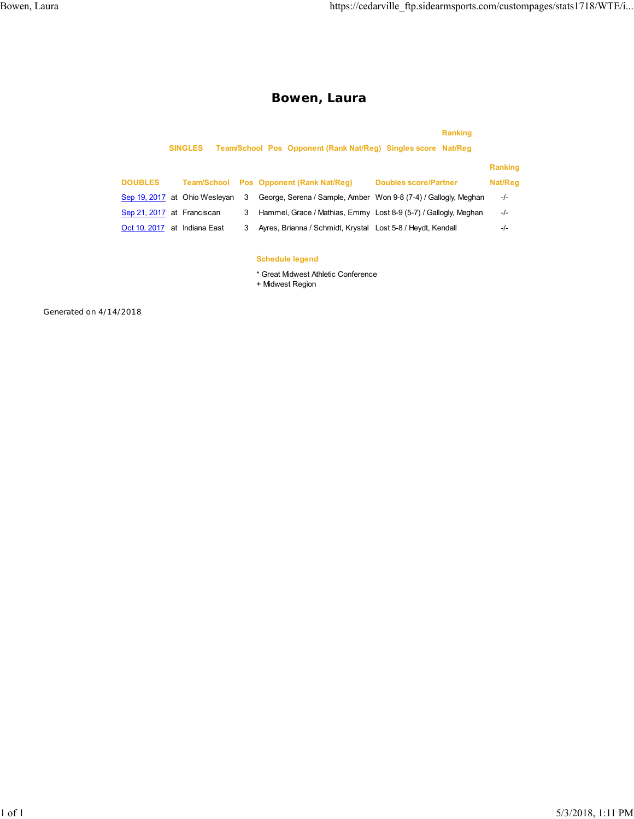## **Bowen, Laura**

|                              | <b>SINGLES</b>                |   | Team/School Pos Opponent (Rank Nat/Reg) Singles score Nat/Reg   | <b>Ranking</b>               |                |
|------------------------------|-------------------------------|---|-----------------------------------------------------------------|------------------------------|----------------|
|                              |                               |   |                                                                 |                              | <b>Ranking</b> |
| <b>DOUBLES</b>               | <b>Team/School</b>            |   | Pos Opponent (Rank Nat/Reg)                                     | <b>Doubles score/Partner</b> | Nat/Reg        |
|                              | Sep 19, 2017 at Ohio Wesleyan | 3 | George, Serena / Sample, Amber Won 9-8 (7-4) / Gallogly, Meghan |                              | $-/-$          |
| Sep 21, 2017 at Franciscan   |                               | 3 | Hammel, Grace / Mathias, Emmy Lost 8-9 (5-7) / Gallogly, Meghan |                              | $-/-$          |
| Oct 10, 2017 at Indiana East |                               | 3 | Ayres, Brianna / Schmidt, Krystal Lost 5-8 / Heydt, Kendall     |                              | $-/-$          |
|                              |                               |   |                                                                 |                              |                |
|                              |                               |   | <b>Schedule legend</b>                                          |                              |                |

\* Great Midwest Athletic Conference

+ Midwest Region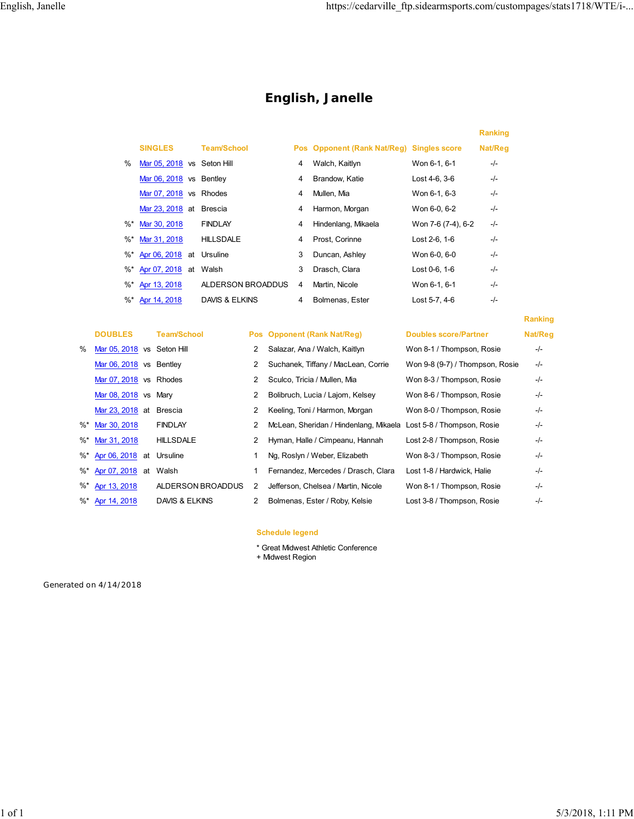**Ranking**

## **English, Janelle**

|        |                            |                    |   |                                           |                    | <b>Ranking</b> |
|--------|----------------------------|--------------------|---|-------------------------------------------|--------------------|----------------|
|        | <b>SINGLES</b>             | <b>Team/School</b> |   | Pos Opponent (Rank Nat/Reg) Singles score |                    | Nat/Reg        |
| $\%$   | Mar 05, 2018 vs Seton Hill |                    | 4 | Walch, Kaitlyn                            | Won 6-1, 6-1       | -/-            |
|        | Mar 06, 2018 vs Bentley    |                    | 4 | Brandow, Katie                            | $Last 4-6, 3-6$    | -/-            |
|        | Mar 07, 2018 vs Rhodes     |                    | 4 | Mullen, Mia                               | Won 6-1, 6-3       | $-/-$          |
|        | Mar 23, 2018 at            | <b>Brescia</b>     | 4 | Harmon, Morgan                            | Won 6-0, 6-2       | -/-            |
| $\%^*$ | Mar 30, 2018               | <b>FINDLAY</b>     | 4 | Hindenlang, Mikaela                       | Won 7-6 (7-4), 6-2 | $-/-$          |
| $\%^*$ | Mar 31, 2018               | <b>HILLSDALE</b>   | 4 | Prost, Corinne                            | Lost 2-6, 1-6      | -/-            |
| %*     | Apr 06, 2018 at            | Ursuline           | 3 | Duncan, Ashley                            | Won 6-0, 6-0       | $-/-$          |
| %*     | Apr 07, 2018 at            | Walsh              | 3 | Drasch, Clara                             | Lost 0-6, 1-6      | -/-            |
| %*     | Apr 13, 2018               | ALDERSON BROADDUS  | 4 | Martin, Nicole                            | Won 6-1, 6-1       | -/-            |
| %*     | Apr 14, 2018               | DAVIS & ELKINS     | 4 | Bolmenas, Ester                           | Lost 5-7, 4-6      | -/-            |

|   | <b>DOUBLES</b>              | <b>Team/School</b>        |   | Pos Opponent (Rank Nat/Reg)                                       | <b>Doubles score/Partner</b>    | Nat/Reg |
|---|-----------------------------|---------------------------|---|-------------------------------------------------------------------|---------------------------------|---------|
| % | Mar 05, 2018 vs Seton Hill  |                           | 2 | Salazar, Ana / Walch, Kaitlyn                                     | Won 8-1 / Thompson, Rosie       | $-/-$   |
|   | Mar 06, 2018 vs Bentley     |                           | 2 | Suchanek, Tiffany / MacLean, Corrie                               | Won 9-8 (9-7) / Thompson, Rosie | $-/-$   |
|   | Mar 07, 2018 vs Rhodes      |                           | 2 | Sculco, Tricia / Mullen, Mia                                      | Won 8-3 / Thompson, Rosie       | $-/-$   |
|   | Mar 08, 2018 vs Mary        |                           | 2 | Bolibruch, Lucia / Lajom, Kelsey                                  | Won 8-6 / Thompson, Rosie       | $-/-$   |
|   | Mar 23, 2018 at Brescia     |                           | 2 | Keeling, Toni / Harmon, Morgan                                    | Won 8-0 / Thompson, Rosie       | $-/-$   |
|   | %* Mar 30, 2018             | <b>FINDLAY</b>            | 2 | McLean, Sheridan / Hindenlang, Mikaela Lost 5-8 / Thompson, Rosie |                                 | $-/-$   |
|   | %* Mar 31, 2018             | <b>HILLSDALE</b>          | 2 | Hyman, Halle / Cimpeanu, Hannah                                   | Lost 2-8 / Thompson, Rosie      | $-/-$   |
|   | %* Apr 06, 2018 at Ursuline |                           |   | Ng, Roslyn / Weber, Elizabeth                                     | Won 8-3 / Thompson, Rosie       | $-/-$   |
|   | %* Apr 07, 2018 at          | Walsh                     |   | Fernandez, Mercedes / Drasch, Clara                               | Lost 1-8 / Hardwick, Halie      | $-/-$   |
|   | %* Apr 13, 2018             | ALDERSON BROADDUS         | 2 | Jefferson, Chelsea / Martin, Nicole                               | Won 8-1 / Thompson, Rosie       | $-/-$   |
|   | %* Apr 14, 2018             | <b>DAVIS &amp; ELKINS</b> | 2 | Bolmenas, Ester / Roby, Kelsie                                    | Lost 3-8 / Thompson, Rosie      | $-I -$  |
|   |                             |                           |   |                                                                   |                                 |         |

#### **Schedule legend**

- \* Great Midwest Athletic Conference
- + Midwest Region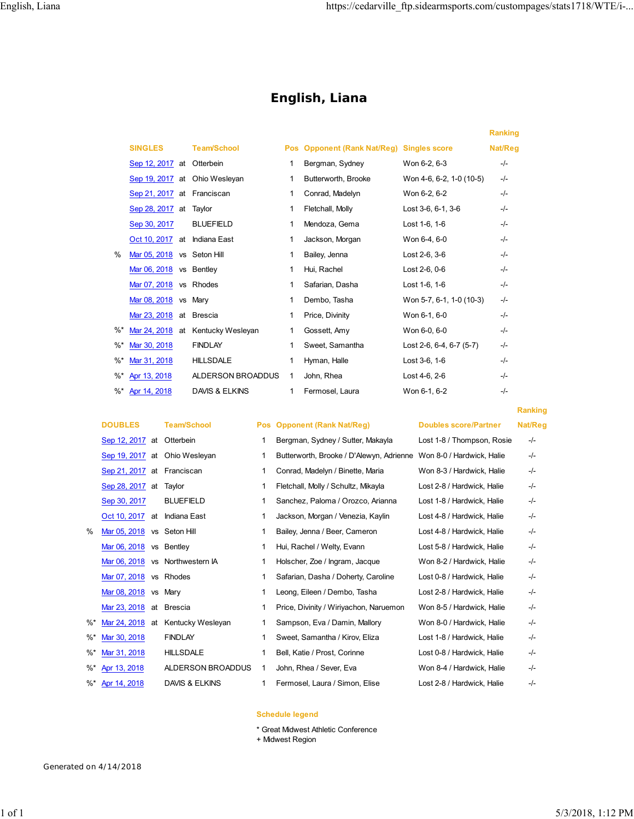**Ranking**

## **English, Liana**

|               |                              |                                   |              |                                           |                          | <b>Ranking</b> |  |
|---------------|------------------------------|-----------------------------------|--------------|-------------------------------------------|--------------------------|----------------|--|
|               | <b>SINGLES</b>               | <b>Team/School</b>                |              | Pos Opponent (Rank Nat/Reg) Singles score |                          | Nat/Reg        |  |
|               | Sep 12, 2017 at Otterbein    |                                   | 1            | Bergman, Sydney                           | Won 6-2, 6-3             | $-/-$          |  |
|               |                              | Sep 19, 2017 at Ohio Wesleyan     | 1            | Butterworth, Brooke                       | Won 4-6, 6-2, 1-0 (10-5) | $-/-$          |  |
|               | Sep 21, 2017 at Franciscan   |                                   | 1            | Conrad, Madelyn                           | Won 6-2, 6-2             | $-I$           |  |
|               | Sep 28, 2017 at Taylor       |                                   | 1            | Fletchall, Molly                          | Lost 3-6, 6-1, 3-6       | $-I$           |  |
|               | Sep 30, 2017                 | <b>BLUEFIELD</b>                  | 1            | Mendoza, Gema                             | Lost 1-6, 1-6            | $-I$           |  |
|               | Oct 10, 2017 at Indiana East |                                   | 1            | Jackson, Morgan                           | Won 6-4, 6-0             | $-I -$         |  |
| $\frac{0}{0}$ | Mar 05, 2018 vs Seton Hill   |                                   | 1            | Bailey, Jenna                             | Lost 2-6, 3-6            | $-I$           |  |
|               | Mar 06, 2018 vs Bentley      |                                   | 1            | Hui, Rachel                               | Lost 2-6, 0-6            | $-I$           |  |
|               | Mar 07, 2018 vs Rhodes       |                                   | 1            | Safarian, Dasha                           | Lost 1-6, 1-6            | $-I$           |  |
|               | Mar 08, 2018 vs Mary         |                                   | 1            | Dembo, Tasha                              | Won 5-7, 6-1, 1-0 (10-3) | $-/-$          |  |
|               | Mar 23, 2018 at Brescia      |                                   | 1            | Price, Divinity                           | Won 6-1, 6-0             | $-I$           |  |
| %*            |                              | Mar 24, 2018 at Kentucky Wesleyan | 1            | Gossett, Amy                              | Won 6-0, 6-0             | $-I$           |  |
| %*            | Mar 30, 2018                 | <b>FINDLAY</b>                    | 1            | Sweet, Samantha                           | Lost 2-6, 6-4, 6-7 (5-7) | $-/-$          |  |
| %*            | Mar 31, 2018                 | <b>HILLSDALE</b>                  | 1            | Hyman, Halle                              | Lost 3-6, 1-6            | $-I$           |  |
| %*            | Apr 13, 2018                 | ALDERSON BROADDUS                 | $\mathbf{1}$ | John, Rhea                                | Lost 4-6, 2-6            | $-/-$          |  |
|               | %* Apr 14, 2018              | <b>DAVIS &amp; ELKINS</b>         | 1            | Fermosel, Laura                           | Won 6-1, 6-2             | $-/-$          |  |
|               |                              |                                   |              |                                           |                          |                |  |

|          | <b>DOUBLES</b>            |    | <b>Team/School</b> |    | Pos Opponent (Rank Nat/Reg)              | <b>Doubles score/Partner</b> | Nat/Reg |
|----------|---------------------------|----|--------------------|----|------------------------------------------|------------------------------|---------|
|          | Sep 12, 2017 at Otterbein |    |                    |    | Bergman, Sydney / Sutter, Makayla        | Lost 1-8 / Thompson, Rosie   | $-/-$   |
|          | Sep 19, 2017 at           |    | Ohio Wesleyan      | 1  | Butterworth, Brooke / D'Alewyn, Adrienne | Won 8-0 / Hardwick, Halie    | -/-     |
|          | Sep 21, 2017              | at | Franciscan         | 1. | Conrad, Madelyn / Binette, Maria         | Won 8-3 / Hardwick, Halie    | $-/-$   |
|          | Sep 28, 2017              | at | Taylor             | 1  | Fletchall, Molly / Schultz, Mikayla      | Lost 2-8 / Hardwick, Halie   | -/-     |
|          | Sep 30, 2017              |    | <b>BLUEFIELD</b>   | 1  | Sanchez, Paloma / Orozco, Arianna        | Lost 1-8 / Hardwick, Halie   | -/-     |
|          | Oct 10, 2017              | at | Indiana East       | 1  | Jackson, Morgan / Venezia, Kaylin        | Lost 4-8 / Hardwick, Halie   | -/-     |
| $\%$     | Mar 05, 2018              |    | vs Seton Hill      |    | Bailey, Jenna / Beer, Cameron            | Lost 4-8 / Hardwick, Halie   | $-/-$   |
|          | Mar 06, 2018              |    | vs Bentlev         | 1  | Hui, Rachel / Welty, Evann               | Lost 5-8 / Hardwick. Halie   | $-/-$   |
|          | Mar 06, 2018              |    | vs Northwestern IA |    | Holscher, Zoe / Ingram, Jacque           | Won 8-2 / Hardwick, Halie    | $-/-$   |
|          | Mar 07, 2018              |    | vs Rhodes          |    | Safarian, Dasha / Doherty, Caroline      | Lost 0-8 / Hardwick, Halie   | -/-     |
|          | Mar 08, 2018              |    | vs Mary            |    | Leong, Eileen / Dembo, Tasha             | Lost 2-8 / Hardwick, Halie   | -/-     |
|          | Mar 23, 2018              | at | <b>Brescia</b>     | 1  | Price, Divinity / Wiriyachon, Naruemon   | Won 8-5 / Hardwick, Halie    | -/-     |
| $\%^*$   | Mar 24, 2018              | at | Kentucky Wesleyan  |    | Sampson, Eva / Damin, Mallory            | Won 8-0 / Hardwick, Halie    | -/-     |
| $\%^*$   | Mar 30, 2018              |    | <b>FINDLAY</b>     |    | Sweet, Samantha / Kirov, Eliza           | Lost 1-8 / Hardwick, Halie   | -/-     |
| %*       | Mar 31, 2018              |    | <b>HILLSDALE</b>   | 1  | Bell, Katie / Prost, Corinne             | Lost 0-8 / Hardwick, Halie   | -/-     |
| $\%^*$   | Apr 13, 2018              |    | ALDERSON BROADDUS  |    | John, Rhea / Sever, Eva                  | Won 8-4 / Hardwick, Halie    | -/-     |
| $\%^{*}$ | Apr 14, 2018              |    | DAVIS & ELKINS     | 1  | Fermosel, Laura / Simon, Elise           | Lost 2-8 / Hardwick, Halie   | -/-     |

#### **Schedule legend**

\* Great Midwest Athletic Conference

+ Midwest Region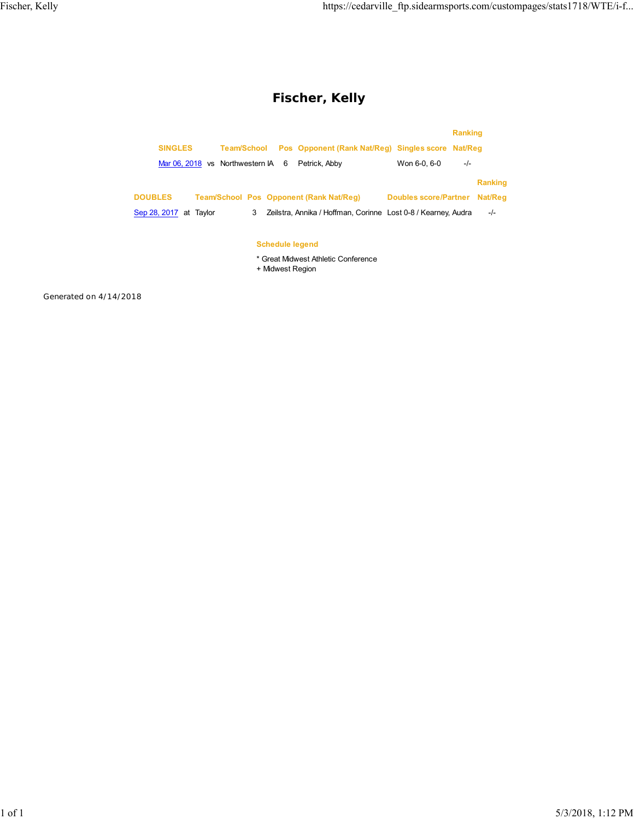## **Fischer, Kelly**

|                        |                                         |                                                               |                              | <b>Ranking</b> |                |
|------------------------|-----------------------------------------|---------------------------------------------------------------|------------------------------|----------------|----------------|
| <b>SINGLES</b>         | <b>Team/School</b>                      | Pos Opponent (Rank Nat/Reg) Singles score Nat/Reg             |                              |                |                |
|                        | Mar 06, 2018 vs Northwestern IA 6       | Petrick, Abby                                                 | Won 6-0, 6-0                 | $-/-$          |                |
|                        |                                         |                                                               |                              |                | <b>Ranking</b> |
| <b>DOUBLES</b>         | Team/School Pos Opponent (Rank Nat/Reg) |                                                               | <b>Doubles score/Partner</b> |                | Nat/Reg        |
| Sep 28, 2017 at Taylor | 3                                       | Zeilstra, Annika / Hoffman, Corinne Lost 0-8 / Kearney, Audra |                              |                | $-I -$         |
|                        |                                         |                                                               |                              |                |                |
|                        | <b>Schedule legend</b>                  |                                                               |                              |                |                |
|                        | + Midwest Region                        | * Great Midwest Athletic Conference                           |                              |                |                |
|                        |                                         |                                                               |                              |                |                |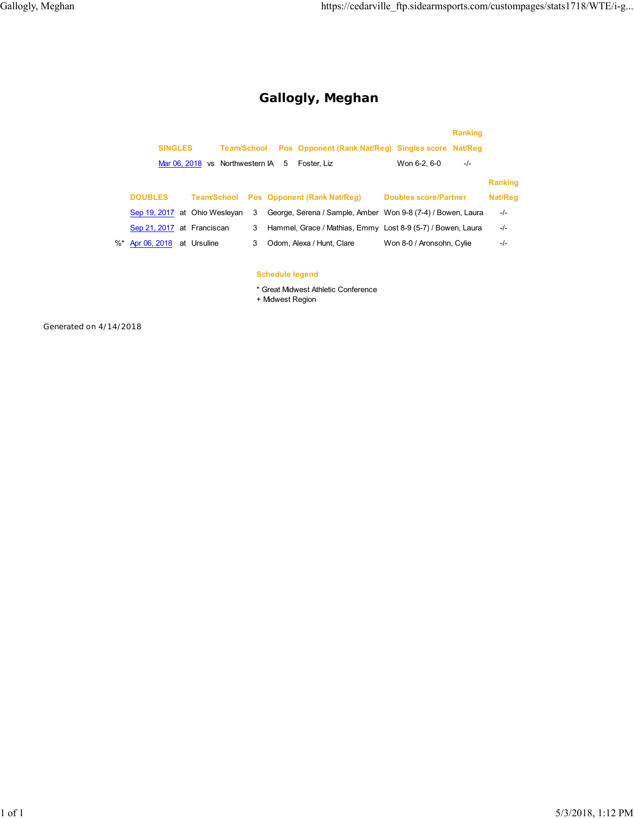## **Gallogly, Meghan**

|    |                               |                                 |   |                                                             | <b>Ranking</b>               |                |
|----|-------------------------------|---------------------------------|---|-------------------------------------------------------------|------------------------------|----------------|
|    | <b>SINGLES</b>                | <b>Team/School</b>              |   | Pos Opponent (Rank Nat/Reg) Singles score Nat/Reg           |                              |                |
|    |                               | Mar 06, 2018 vs Northwestern IA |   | 5<br>Foster, Liz                                            | Won 6-2, 6-0<br>$-/-$        |                |
|    |                               |                                 |   |                                                             |                              | <b>Ranking</b> |
|    | <b>DOUBLES</b>                | <b>Team/School</b>              |   | <b>Pos</b> Opponent (Rank Nat/Reg)                          | <b>Doubles score/Partner</b> | Nat/Reg        |
|    | Sep 19, 2017 at Ohio Wesleyan |                                 | 3 | George, Serena / Sample, Amber Won 9-8 (7-4) / Bowen, Laura |                              | $-/-$          |
|    | Sep 21, 2017 at Franciscan    |                                 | 3 | Hammel, Grace / Mathias, Emmy Lost 8-9 (5-7) / Bowen, Laura |                              | -/-            |
| %* | Apr 06, 2018                  | at Ursuline                     | 3 | Odom, Alexa / Hunt, Clare                                   | Won 8-0 / Aronsohn, Cylie    | -/-            |
|    |                               |                                 |   |                                                             |                              |                |

#### **Schedule legend**

\* Great Midwest Athletic Conference

+ Midwest Region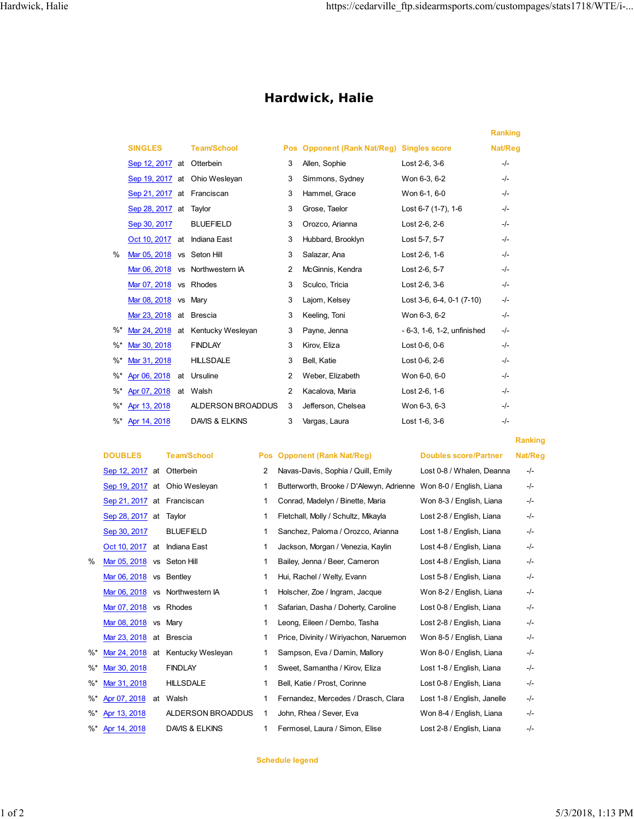## **Hardwick, Halie**

|        |                            |    |                    |            |                                              |                             | <b>Ranking</b> |
|--------|----------------------------|----|--------------------|------------|----------------------------------------------|-----------------------------|----------------|
|        | <b>SINGLES</b>             |    | <b>Team/School</b> | <b>Pos</b> | <b>Opponent (Rank Nat/Reg) Singles score</b> |                             | Nat/Reg        |
|        | Sep 12, 2017 at Otterbein  |    |                    | 3          | Allen, Sophie                                | Lost 2-6, 3-6               | $-I$           |
|        | Sep 19, 2017 at            |    | Ohio Wesleyan      | 3          | Simmons, Sydney                              | Won 6-3, 6-2                | $-I$           |
|        | Sep 21, 2017 at Franciscan |    |                    | 3          | Hammel, Grace                                | Won 6-1, 6-0                | $-/-$          |
|        | Sep 28, 2017 at            |    | Taylor             | 3          | Grose, Taelor                                | Lost 6-7 (1-7), 1-6         | $-/-$          |
|        | Sep 30, 2017               |    | <b>BLUEFIELD</b>   | 3          | Orozco, Arianna                              | Lost 2-6, 2-6               | $-/-$          |
|        | Oct 10, 2017 at            |    | Indiana East       | 3          | Hubbard, Brooklyn                            | Lost 5-7, 5-7               | $-I -$         |
| $\%$   | Mar 05, 2018               |    | vs Seton Hill      | 3          | Salazar, Ana                                 | Lost 2-6, 1-6               | $-/-$          |
|        | Mar 06, 2018               |    | vs Northwestern IA | 2          | McGinnis, Kendra                             | Lost 2-6, 5-7               | $-/-$          |
|        | Mar 07, 2018               |    | vs Rhodes          | 3          | Sculco, Tricia                               | Lost 2-6, 3-6               | $-/-$          |
|        | Mar 08, 2018               |    | vs Mary            | 3          | Lajom, Kelsey                                | Lost 3-6, 6-4, 0-1 (7-10)   | $-/-$          |
|        | Mar 23, 2018               |    | at Brescia         | 3          | Keeling, Toni                                | Won 6-3, 6-2                | -/-            |
| %      | Mar 24, 2018 at            |    | Kentucky Wesleyan  | 3          | Payne, Jenna                                 | - 6-3, 1-6, 1-2, unfinished | -/-            |
| $\%^*$ | Mar 30, 2018               |    | <b>FINDLAY</b>     | 3          | Kirov, Eliza                                 | Lost 0-6, 0-6               | $-/-$          |
| $\%^*$ | Mar 31, 2018               |    | <b>HILLSDALE</b>   | 3          | Bell, Katie                                  | Lost 0-6, 2-6               | $-I$           |
| $\%^*$ | Apr 06, 2018               | at | Ursuline           | 2          | Weber, Elizabeth                             | Won 6-0, 6-0                | $-/-$          |
| $\%^*$ | Apr 07, 2018               |    | at Walsh           | 2          | Kacalova, Maria                              | Lost 2-6, 1-6               | $-/-$          |
| $\%^*$ | Apr 13, 2018               |    | ALDERSON BROADDUS  | 3          | Jefferson, Chelsea                           | Won 6-3, 6-3                | $-/-$          |
| $\%^*$ | Apr 14, 2018               |    | DAVIS & ELKINS     | 3          | Vargas, Laura                                | Lost 1-6, 3-6               | -/-            |
|        |                            |    |                    |            |                                              |                             |                |

#### **DOUBLES Team/School Pos Opponent (Rank Nat/Reg) Doubles score/Partner Nat/Reg** Sep 12, 2017 at Otterbein

| $\sigma$ <sub>c</sub> $\mu$ iz, zv $\mu$ at Olleibelli |                                 |
|--------------------------------------------------------|---------------------------------|
|                                                        | Sep 19, 2017 at Ohio Wesleyan   |
| Sep 21, 2017 at Franciscan                             |                                 |
| Sep 28, 2017 at Taylor                                 |                                 |
| Sep 30, 2017 BLUEFIELD                                 |                                 |
| Oct 10, 2017 at Indiana East                           |                                 |
| Mar 05, 2018 vs Seton Hill                             |                                 |
| Mar 06, 2018 vs Bentley                                |                                 |
|                                                        | Mar 06, 2018 vs Northwestern IA |
| Mar 07, 2018 vs Rhodes                                 |                                 |
| Mar 08, 2018 vs Mary                                   |                                 |

#### **Ranking**

|        | Sep 12, 2017               | at        | Otterbein          | 2 | Navas-Davis, Sophia / Quill, Emily                                | Lost 0-8 / Whalen, Deanna   | $-/-$ |
|--------|----------------------------|-----------|--------------------|---|-------------------------------------------------------------------|-----------------------------|-------|
|        | Sep 19, 2017 at            |           | Ohio Wesleyan      | 1 | Butterworth, Brooke / D'Alewyn, Adrienne Won 8-0 / English, Liana |                             | $-/-$ |
|        | Sep 21, 2017 at Franciscan |           |                    | 1 | Conrad, Madelyn / Binette, Maria                                  | Won 8-3 / English, Liana    | $-/-$ |
|        | Sep 28, 2017 at Taylor     |           |                    | 1 | Fletchall, Molly / Schultz, Mikayla                               | Lost 2-8 / English, Liana   | $-/-$ |
|        | Sep 30, 2017               |           | <b>BLUEFIELD</b>   | 1 | Sanchez, Paloma / Orozco, Arianna                                 | Lost 1-8 / English, Liana   | $-/-$ |
|        | Oct 10, 2017               |           | at Indiana East    | 1 | Jackson, Morgan / Venezia, Kaylin                                 | Lost 4-8 / English, Liana   | $-/-$ |
| %      | Mar 05, 2018               |           | vs Seton Hill      | 1 | Bailey, Jenna / Beer, Cameron                                     | Lost 4-8 / English, Liana   | $-/-$ |
|        | Mar 06, 2018               |           | vs Bentley         | 1 | Hui, Rachel / Welty, Evann                                        | Lost 5-8 / English, Liana   | -/-   |
|        | Mar 06, 2018               |           | vs Northwestern IA | 1 | Holscher, Zoe / Ingram, Jacque                                    | Won 8-2 / English, Liana    | $-/-$ |
|        | Mar 07, 2018               |           | vs Rhodes          |   | Safarian, Dasha / Doherty, Caroline                               | Lost 0-8 / English, Liana   | $-/-$ |
|        | Mar 08, 2018               | <b>VS</b> | Mary               | 1 | Leong, Eileen / Dembo, Tasha                                      | Lost 2-8 / English, Liana   | -/-   |
|        | Mar 23, 2018               | at        | Brescia            | 1 | Price, Divinity / Wiriyachon, Naruemon                            | Won 8-5 / English, Liana    | $-/-$ |
| $\%^*$ | Mar 24, 2018               | at        | Kentucky Wesleyan  | 1 | Sampson, Eva / Damin, Mallory                                     | Won 8-0 / English, Liana    | -/-   |
| $\%^*$ | Mar 30, 2018               |           | <b>FINDLAY</b>     | 1 | Sweet, Samantha / Kirov, Eliza                                    | Lost 1-8 / English, Liana   | -/-   |
| $\%^*$ | Mar 31, 2018               |           | <b>HILLSDALE</b>   | 1 | Bell, Katie / Prost, Corinne                                      | Lost 0-8 / English, Liana   | -/-   |
| $\%^*$ | Apr 07, 2018               | at        | Walsh              | 1 | Fernandez, Mercedes / Drasch, Clara                               | Lost 1-8 / English, Janelle | $-/-$ |
| %*     | Apr 13, 2018               |           | ALDERSON BROADDUS  | 1 | John, Rhea / Sever, Eva                                           | Won 8-4 / English, Liana    | -/-   |
|        | %* Apr 14, 2018            |           | DAVIS & ELKINS     | 1 | Fermosel, Laura / Simon, Elise                                    | Lost 2-8 / English, Liana   | -/-   |

#### **Schedule legend**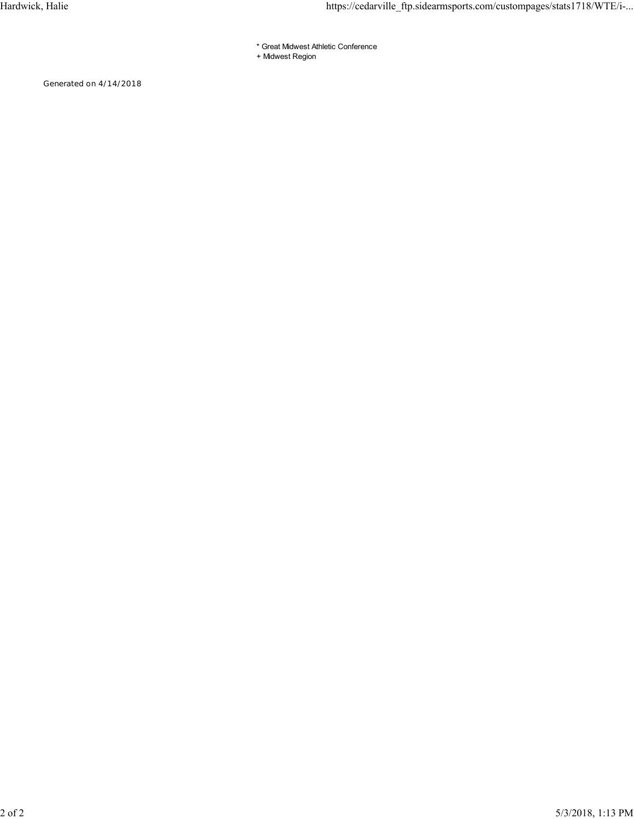- \* Great Midwest Athletic Conference
- + Midwest Region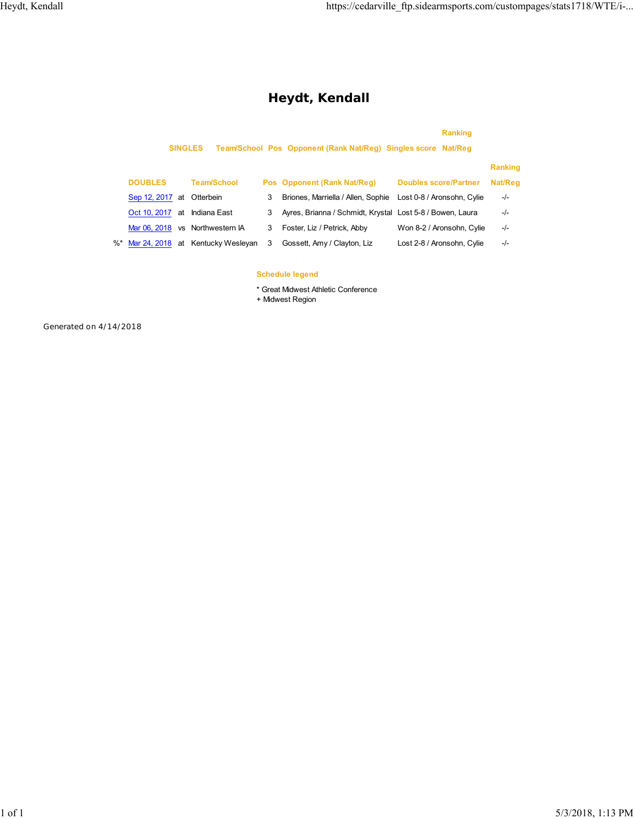## **Heydt, Kendall**

## **Ranking SINGLES Team/School Pos Opponent (Rank Nat/Reg) Singles score Nat/Reg Ranking DOUBLES Team/School Pos Opponent (Rank Nat/Reg) Doubles score/Partner Nat/Reg** Sep 12, 2017 at Otterbein 3 Briones, Marriella / Allen, Sophie Lost 0-8 / Aronsohn, Cylie -/- Oct 10, 2017 at Indiana East 3 Ayres, Brianna / Schmidt, Krystal Lost 5-8 / Bowen, Laura -/-Mar 06, 2018 vs Northwestern IA 3 Foster, Liz / Petrick, Abby Won 8-2 / Aronsohn, Cylie -/-%\* Mar 24, 2018 at Kentucky Wesleyan 3 Gossett, Amy / Clayton, Liz Lost 2-8 / Aronsohn, Cylie -/-

#### **Schedule legend**

\* Great Midwest Athletic Conference

+ Midwest Region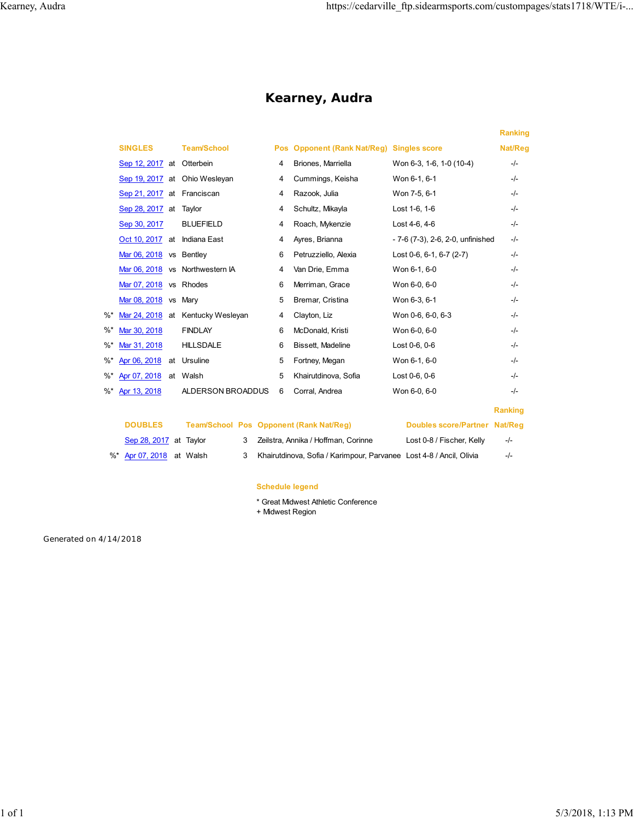## **Kearney, Audra**

|    |                            |                                   |   |                                           |                                   | <b>Ranking</b> |
|----|----------------------------|-----------------------------------|---|-------------------------------------------|-----------------------------------|----------------|
|    | <b>SINGLES</b>             | <b>Team/School</b>                |   | Pos Opponent (Rank Nat/Reg) Singles score |                                   | Nat/Reg        |
|    | Sep 12, 2017 at Otterbein  |                                   | 4 | Briones, Marriella                        | Won 6-3, 1-6, 1-0 (10-4)          | $-/-$          |
|    |                            | Sep 19, 2017 at Ohio Wesleyan     | 4 | Cummings, Keisha                          | Won 6-1, 6-1                      | $-I$           |
|    | Sep 21, 2017 at Franciscan |                                   | 4 | Razook, Julia                             | Won 7-5, 6-1                      | $-I -$         |
|    | Sep 28, 2017 at Taylor     |                                   | 4 | Schultz, Mikayla                          | Lost 1-6, 1-6                     | -/-            |
|    | Sep 30, 2017               | <b>BLUEFIELD</b>                  | 4 | Roach, Mykenzie                           | Lost 4-6, 4-6                     | $-I -$         |
|    | Oct 10, 2017 at            | Indiana East                      | 4 | Ayres, Brianna                            | - 7-6 (7-3), 2-6, 2-0, unfinished | -/-            |
|    | Mar 06, 2018 vs Bentley    |                                   | 6 | Petruzziello, Alexia                      | Lost 0-6, 6-1, 6-7 $(2-7)$        | $-/-$          |
|    |                            | Mar 06, 2018 vs Northwestern IA   | 4 | Van Drie, Emma                            | Won 6-1, 6-0                      | $-/-$          |
|    | Mar 07, 2018 vs Rhodes     |                                   | 6 | Merriman, Grace                           | Won 6-0, 6-0                      | $-I -$         |
|    | Mar 08, 2018               | vs Mary                           | 5 | Bremar, Cristina                          | Won 6-3, 6-1                      | $-/-$          |
| %* |                            | Mar 24, 2018 at Kentucky Wesleyan | 4 | Clayton, Liz                              | Won 0-6, 6-0, 6-3                 | $-I -$         |
| %* | Mar 30, 2018               | <b>FINDLAY</b>                    | 6 | McDonald, Kristi                          | Won 6-0, 6-0                      | $-I -$         |
| %* | Mar 31, 2018               | <b>HILLSDALE</b>                  | 6 | Bissett, Madeline                         | Lost 0-6, 0-6                     | $-I -$         |
| %* | Apr 06, 2018               | at Ursuline                       | 5 | Fortney, Megan                            | Won 6-1, 6-0                      | $-/-$          |
| %* | Apr 07, 2018               | at Walsh                          | 5 | Khairutdinova, Sofia                      | Lost 0-6, 0-6                     | $-I -$         |
| %* | Apr 13, 2018               | ALDERSON BROADDUS                 | 6 | Corral, Andrea                            | Won 6-0, 6-0                      | $-I -$         |
|    |                            |                                   |   |                                           |                                   | <b>Ranking</b> |
|    |                            |                                   |   |                                           |                                   |                |

| <b>DOUBLES</b>           |  | Team/School Pos Opponent (Rank Nat/Reg) | Doubles score/Partner Nat/Reg                                         |                           |       |
|--------------------------|--|-----------------------------------------|-----------------------------------------------------------------------|---------------------------|-------|
| Sep 28, 2017 at Taylor   |  |                                         | 3 Zeilstra. Annika / Hoffman. Corinne                                 | Lost 0-8 / Fischer, Kelly | $-/-$ |
| %* Apr 07, 2018 at Walsh |  |                                         | 3 Khairutdinova, Sofia / Karimpour, Parvanee Lost 4-8 / Ancil, Olivia |                           | $-l-$ |

#### **Schedule legend**

- \* Great Midwest Athletic Conference
- + Midwest Region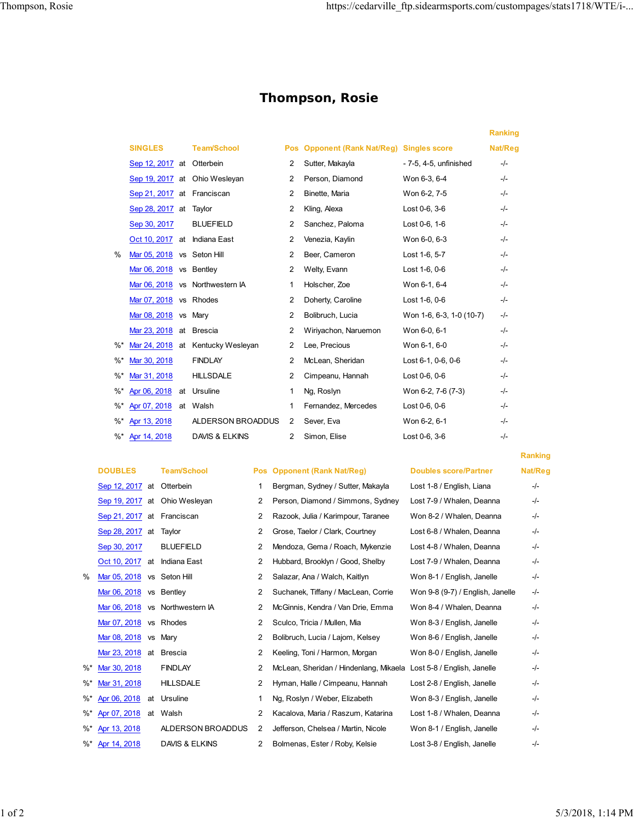## **Thompson, Rosie**

|               |                              |    |                                 |                |                                              |                          | <b>Ranking</b> |
|---------------|------------------------------|----|---------------------------------|----------------|----------------------------------------------|--------------------------|----------------|
|               | <b>SINGLES</b>               |    | <b>Team/School</b>              | <b>Pos</b>     | <b>Opponent (Rank Nat/Reg) Singles score</b> |                          | Nat/Reg        |
|               | Sep 12, 2017 at Otterbein    |    |                                 | 2              | Sutter, Makayla                              | - 7-5, 4-5, unfinished   | $-I$           |
|               |                              |    | Sep 19, 2017 at Ohio Wesleyan   | 2              | Person, Diamond                              | Won 6-3, 6-4             | $-/-$          |
|               | Sep 21, 2017 at Franciscan   |    |                                 | $\overline{2}$ | Binette, Maria                               | Won 6-2, 7-5             | $-I$           |
|               | Sep 28, 2017 at              |    | Taylor                          | $\overline{2}$ | Kling, Alexa                                 | Lost 0-6, 3-6            | $-I$           |
|               | Sep 30, 2017                 |    | <b>BLUEFIELD</b>                | $\overline{2}$ | Sanchez, Paloma                              | Lost 0-6, 1-6            | $-/-$          |
|               | Oct 10, 2017 at Indiana East |    |                                 | $\overline{2}$ | Venezia, Kaylin                              | Won 6-0, 6-3             | $-I$           |
| $\frac{0}{0}$ | Mar 05, 2018 vs Seton Hill   |    |                                 | 2              | Beer, Cameron                                | Lost 1-6, 5-7            | $-I$           |
|               | Mar 06, 2018 vs Bentley      |    |                                 | $\overline{2}$ | Welty, Evann                                 | Lost 1-6, 0-6            | $-I$           |
|               |                              |    | Mar 06, 2018 vs Northwestern IA | 1              | Holscher, Zoe                                | Won 6-1, 6-4             | $-/-$          |
|               | Mar 07, 2018 vs Rhodes       |    |                                 | 2              | Doherty, Caroline                            | Lost 1-6, 0-6            | $-I$           |
|               | Mar 08, 2018                 |    | vs Marv                         | $\overline{2}$ | Bolibruch, Lucia                             | Won 1-6, 6-3, 1-0 (10-7) | $-/-$          |
|               | Mar 23, 2018                 |    | at Brescia                      | 2              | Wiriyachon, Naruemon                         | Won 6-0, 6-1             | $-I$           |
| $\%$ *        | Mar 24, 2018 at              |    | Kentucky Wesleyan               | $\overline{2}$ | Lee, Precious                                | Won 6-1, 6-0             | $-I$           |
| $\%$ *        | Mar 30, 2018                 |    | <b>FINDLAY</b>                  | $\overline{2}$ | McLean, Sheridan                             | Lost 6-1, 0-6, 0-6       | $-I$           |
| $\%$ *        | Mar 31, 2018                 |    | <b>HILLSDALE</b>                | 2              | Cimpeanu, Hannah                             | Lost 0-6, 0-6            | $-/-$          |
| $\%^*$        | Apr 06, 2018                 | at | Ursuline                        | 1              | Ng, Roslyn                                   | Won 6-2, 7-6 (7-3)       | $-/-$          |
| $\%^*$        | Apr 07, 2018                 |    | at Walsh                        | 1              | Fernandez, Mercedes                          | Lost 0-6, 0-6            | $-/-$          |
| $%$ *         | Apr 13, 2018                 |    | ALDERSON BROADDUS               | $\overline{2}$ | Sever, Eva                                   | Won 6-2, 6-1             | $-I -$         |
| %*            | Apr 14, 2018                 |    | DAVIS & ELKINS                  | $\overline{2}$ | Simon, Elise                                 | Lost 0-6, 3-6            | -/-            |
|               |                              |    |                                 |                |                                              |                          |                |

|    | Sep 12, 2017 at Otterbein  |                                 | 1.             | Bergman, Sydney / Sutter, Makayla                                  | Lost 1-8 / English, Liana        | -/- |
|----|----------------------------|---------------------------------|----------------|--------------------------------------------------------------------|----------------------------------|-----|
|    |                            | Sep 19, 2017 at Ohio Wesleyan   | 2              | Person, Diamond / Simmons, Sydney                                  | Lost 7-9 / Whalen, Deanna        | -/- |
|    | Sep 21, 2017 at Franciscan |                                 | 2              | Razook, Julia / Karimpour, Taranee                                 | Won 8-2 / Whalen, Deanna         | -/- |
|    | Sep 28, 2017 at Taylor     |                                 | 2              | Grose, Taelor / Clark, Courtney                                    | Lost 6-8 / Whalen, Deanna        | -/- |
|    | Sep 30, 2017               | <b>BLUEFIELD</b>                | $\overline{2}$ | Mendoza, Gema / Roach, Mykenzie                                    | Lost 4-8 / Whalen, Deanna        | -/- |
|    | Oct 10, 2017 at            | Indiana East                    | 2              | Hubbard, Brooklyn / Good, Shelby                                   | Lost 7-9 / Whalen, Deanna        | -/- |
| %  | Mar 05, 2018 vs Seton Hill |                                 | 2              | Salazar, Ana / Walch, Kaitlyn                                      | Won 8-1 / English, Janelle       | -/- |
|    | Mar 06, 2018 vs Bentley    |                                 | 2              | Suchanek, Tiffany / MacLean, Corrie                                | Won 9-8 (9-7) / English, Janelle | -/- |
|    |                            | Mar 06, 2018 vs Northwestern IA | 2              | McGinnis, Kendra / Van Drie, Emma                                  | Won 8-4 / Whalen, Deanna         | -/- |
|    | Mar 07, 2018 vs Rhodes     |                                 | 2              | Sculco, Tricia / Mullen, Mia                                       | Won 8-3 / English, Janelle       | -/- |
|    | Mar 08, 2018 vs Mary       |                                 | 2              | Bolibruch, Lucia / Lajom, Kelsey                                   | Won 8-6 / English, Janelle       | -/- |
|    | Mar 23, 2018 at Brescia    |                                 | 2              | Keeling, Toni / Harmon, Morgan                                     | Won 8-0 / English, Janelle       | -/- |
| %* | Mar 30, 2018               | <b>FINDLAY</b>                  | 2              | McLean, Sheridan / Hindenlang, Mikaela Lost 5-8 / English, Janelle |                                  | -/- |
| %* | Mar 31, 2018               | <b>HILLSDALE</b>                | 2              | Hyman, Halle / Cimpeanu, Hannah                                    | Lost 2-8 / English, Janelle      | -/- |
|    | %* Apr 06, 2018 at         | Ursuline                        |                | Ng, Roslyn / Weber, Elizabeth                                      | Won 8-3 / English, Janelle       | -/- |
|    | %* Apr 07, 2018            | at Walsh                        | 2              | Kacalova, Maria / Raszum, Katarina                                 | Lost 1-8 / Whalen, Deanna        | -/- |
|    | %* Apr 13, 2018            | ALDERSON BROADDUS               | 2              | Jefferson, Chelsea / Martin, Nicole                                | Won 8-1 / English, Janelle       | -/- |

#### **DOUBLES** Team/School Pos Opponent (Rank Nat/Reg) Doubles score/Partner Nat/Reg

|        | Sep 12, 2017 at Otterbein    |    |                                 | 1              | Bergman, Sydney / Sutter, Makayla      |  |
|--------|------------------------------|----|---------------------------------|----------------|----------------------------------------|--|
|        |                              |    | Sep 19, 2017 at Ohio Wesleyan   | 2              | Person, Diamond / Simmons, Sydney      |  |
|        | Sep 21, 2017 at Franciscan   |    |                                 | 2              | Razook, Julia / Karimpour, Taranee     |  |
|        | Sep 28, 2017 at              |    | Taylor                          | $\overline{2}$ | Grose, Taelor / Clark, Courtney        |  |
|        | Sep 30, 2017                 |    | <b>BLUEFIELD</b>                | $\overline{2}$ | Mendoza, Gema / Roach, Mykenzie        |  |
|        | Oct 10, 2017 at Indiana East |    |                                 | 2              | Hubbard, Brooklyn / Good, Shelby       |  |
| $\%$   | Mar 05, 2018 vs Seton Hill   |    |                                 | $\overline{2}$ | Salazar, Ana / Walch, Kaitlyn          |  |
|        | Mar $06, 2018$ vs Bentley    |    |                                 | $\overline{2}$ | Suchanek, Tiffany / MacLean, Corrie    |  |
|        |                              |    | Mar 06, 2018 vs Northwestern IA | $\overline{2}$ | McGinnis, Kendra / Van Drie, Emma      |  |
|        | Mar 07, 2018 vs Rhodes       |    |                                 | 2              | Sculco, Tricia / Mullen, Mia           |  |
|        | Mar 08, 2018                 |    | vs Mary                         | $\overline{2}$ | Bolibruch, Lucia / Lajom, Kelsey       |  |
|        | Mar 23, 2018 at Brescia      |    |                                 | $\overline{2}$ | Keeling, Toni / Harmon, Morgan         |  |
| $\%^*$ | Mar 30, 2018                 |    | <b>FINDLAY</b>                  | 2              | McLean, Sheridan / Hindenlang, Mikaela |  |
| $\%$ * | Mar 31, 2018                 |    | <b>HILLSDALE</b>                | $\overline{2}$ | Hyman, Halle / Cimpeanu, Hannah        |  |
| $\%$ * | Apr 06, 2018                 | at | Ursuline                        | 1              | Ng, Roslyn / Weber, Elizabeth          |  |
| $\%$ * | Apr 07, 2018                 | at | Walsh                           | 2              | Kacalova, Maria / Raszum, Katarina     |  |
| $\%$ * | Apr 13, 2018                 |    | ALDERSON BROADDUS               | $\overline{2}$ | Jefferson, Chelsea / Martin, Nicole    |  |
| $\%$ * | Apr 14, 2018                 |    | DAVIS & ELKINS                  | $\overline{2}$ | Bolmenas, Ester / Roby, Kelsie         |  |

# **Ranking**

|   | Lost 1-8 / English, Liana        | -/- |
|---|----------------------------------|-----|
|   | Lost 7-9 / Whalen, Deanna        | -/- |
|   | Won 8-2 / Whalen, Deanna         | -/- |
|   | Lost 6-8 / Whalen, Deanna        | -/- |
|   | Lost 4-8 / Whalen, Deanna        | -/- |
|   | Lost 7-9 / Whalen, Deanna        | -/- |
|   | Won 8-1 / English, Janelle       | -/- |
|   | Won 9-8 (9-7) / English, Janelle | -/- |
|   | Won 8-4 / Whalen, Deanna         | -/- |
|   | Won 8-3 / English, Janelle       | -/- |
|   | Won 8-6 / English, Janelle       | -/- |
|   | Won 8-0 / English, Janelle       | -/- |
| E | Lost 5-8 / English, Janelle      | -/- |
|   | Lost 2-8 / English, Janelle      | -/- |
|   | Won 8-3 / English, Janelle       | -/- |
|   | Lost 1-8 / Whalen, Deanna        | -/- |
|   | Won 8-1 / English, Janelle       | -/- |
|   | Lost 3-8 / English, Janelle      | -/- |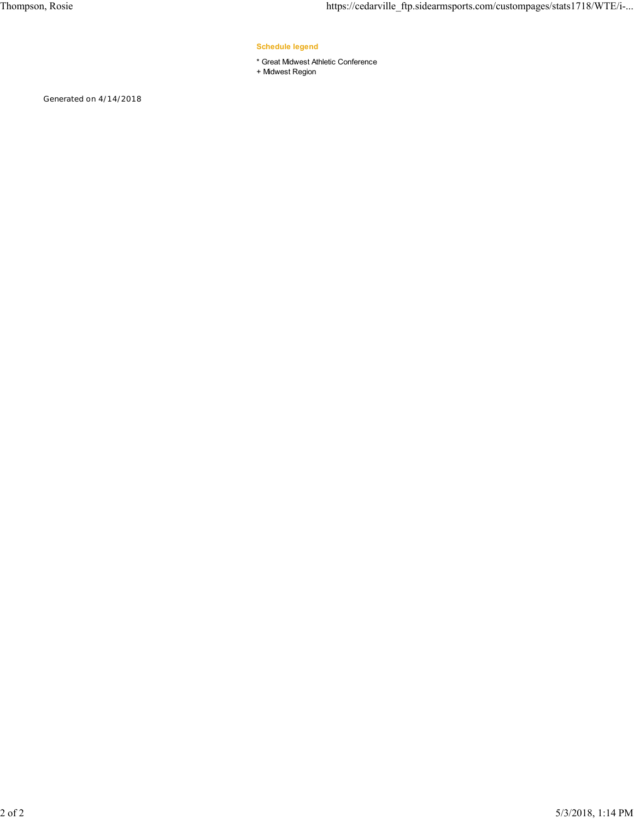#### **Schedule legend**

- \* Great Midwest Athletic Conference
- + Midwest Region